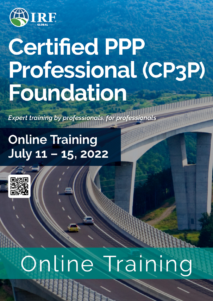

# **Certified PPP** Professional (CP3P) **Foundation**

**Expert training by professionals, for professiona** 

# **Online Training** July 11 - 15, 2022



# Training Online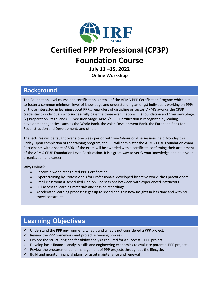

# **Certified PPP Professional (CP3P) Foundation Course**

**July 11 –15, 2022 Online Workshop** 

#### **Background**

The Foundation level course and certification is step 1 of the APMG PPP Certification Program which aims to foster a common minimum level of knowledge and understanding amongst individuals working on PPPs or those interested in learning about PPPs, regardless of discipline or sector. APMG awards the CP3P credential to individuals who successfully pass the three examinations: (1) Foundation and Overview Stage, (2) Preparation Stage, and (3) Execution Stage. APMG's PPP Certification is recognized by leading development agencies, such as the World Bank, the Asian Development Bank, the European Bank for Reconstruction and Development, and others.

The lectures will be taught over a one week period with live 4-hour on-line sessions held Monday thru Friday Upon completion of the training program, the IRF will administer the APMG CP3P Foundation exam. Participants with a score of 50% of the exam will be awarded with a certificate confirming their attainment of the APMG CP3P Foundation Level Certification. It is a great way to verify your knowledge and help your organization and career

#### **Why Online?**

- Receive a world recognized PPP Certification
- Expert training by Professionals for Professionals: developed by active world-class practitioners
- Small classroom & scheduled One-on One sessions between with experienced instructors
- Full access to learning materials and session recordings
- Accelerated learning processes: get up to speed and gain new insights in less time and with no travel constraints

### **Learning Objectives**

- $\checkmark$  Understand the PPP environment, what is and what is not considered a PPP project.
- $\checkmark$  Review the PPP framework and project screening process.
- $\checkmark$  Explore the structuring and feasibility analysis required for a successful PPP project.
- $\checkmark$  Develop basic financial analysis skills and engineering economics to evaluate potential PPP projects.
- $\checkmark$  Review the procurement and management of PPP projects throughout the lifecycle.
- $\checkmark$  Build and monitor financial plans for asset maintenance and renewal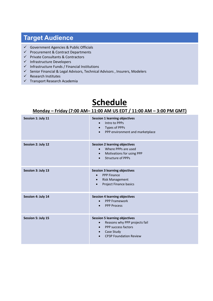## **Target Audience**

- $\checkmark$  Government Agencies & Public Officials
- $\checkmark$  Procurement & Contract Departments
- $\checkmark$  Private Consultants & Contractors
- $\checkmark$  Infrastructure Developers
- $\checkmark$  Infrastructure Funds / Financial Institutions
- $\checkmark$  Senior Financial & Legal Advisors, Technical Advisors, Insurers, Modelers
- $\checkmark$  Research Institutes
- $\checkmark$  Transport Research Academia

# **Schedule**

#### **Monday – Friday (7:00 AM– 11:00 AM US EDT / 11:00 AM – 3:00 PM GMT)**

| Session 1: July 11 | <b>Session 1 learning objectives</b><br>Intro to PPPs<br>$\bullet$<br>Types of PPPs<br>$\bullet$<br>PPP environment and marketplace<br>$\bullet$                                                |
|--------------------|-------------------------------------------------------------------------------------------------------------------------------------------------------------------------------------------------|
| Session 2: July 12 | <b>Session 2 learning objectives</b><br>Where PPPs are used<br>$\bullet$<br>Motivations for using PPP<br>$\bullet$<br><b>Structure of PPPs</b><br>$\bullet$                                     |
| Session 3: July 13 | <b>Session 3 learning objectives</b><br><b>PPP Finance</b><br>$\bullet$<br><b>Risk Management</b><br>$\bullet$<br>Project Finance basics<br>$\bullet$                                           |
| Session 4: July 14 | <b>Session 4 learning objectives</b><br><b>PPP Framework</b><br>$\bullet$<br><b>PPP Process</b><br>$\bullet$                                                                                    |
| Session 5: July 15 | <b>Session 5 learning objectives</b><br>Reasons why PPP projects fail<br>$\bullet$<br>PPP success factors<br>$\bullet$<br>Case Study<br>$\bullet$<br><b>CP3P Foundation Review</b><br>$\bullet$ |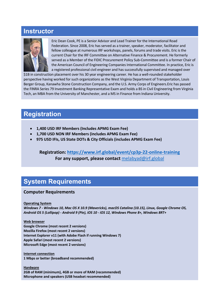#### **Instructor**



Eric Dean Cook, PE is a Senior Advisor and Lead Trainer for the International Road Federation. Since 2008, Eric has served as a trainer, speaker, moderator, facilitator and fellow colleague at numerous IRF workshops, panels, forums and trade visits. Eric is the current Chair for the IRF Committee on Alternative Finance & Procurement. He formerly served as a Member of the FIDIC Procurement Policy Sub-Committee and is a former Chair of the American Council of Engineering Companies International Committee. In practice, Eric is a registered professional civil engineer and has successfully supervised and managed over

\$1B in construction placement over his 30 year engineering career. He has a well-rounded stakeholder perspective having worked for such organizations as the West Virginia Department of Transportation, Louis Berger Group, Kanawha Stone Construction Company, and the U.S. Army Corps of Engineers.Eric has passed the FINRA Series 79 Investment Banking Representative Exam and holds a BS in Civil Engineering from Virginia Tech, an MBA from the University of Manchester, and a MS in Finance from Indiana University.

#### **Registration**

- **1,400 USD IRF Members (Includes APMG Exam Fee)**
- **1,700 USD NON IRF Members (includes APMG Exam Fee)**
- **975 USD IFIs, US State DOTs & City Officials (includes APMG Exam Fee)**

**Registration:<https://www.irf.global/event/cp3p-22-online-training> For any support, please contact** [melabyad@irf.global](mailto:melabyad@irf.global)

#### **System Requirements**

#### **Computer Requirements**

**Operating System**

*Windows 7 - Windows 10, Mac OS X 10.9 (Mavericks), macOS Catalina (10.15), Linux, Google Chrome OS, Android OS 5 (Lollipop) - Android 9 (Pie), iOS 10 - iOS 12, Windows Phone 8+, Windows 8RT+*

**Web browser Google Chrome (most recent 2 versions) Mozilla Firefox (most recent 2 versions) Internet Explorer v11 (with Adobe Flash if running Windows 7) Apple Safari (most recent 2 versions) Microsoft Edge (most recent 2 versions)**

**Internet connection 1 Mbps or better (broadband recommended)**

**Hardware 2GB of RAM (minimum), 4GB or more of RAM (recommended) Microphone and speakers (USB headset recommended)**